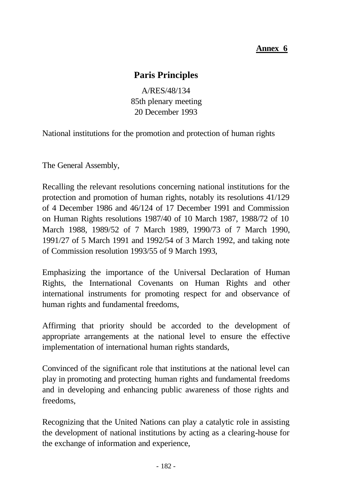# **Annex 6**

# **Paris Principles**

A/RES/48/134 85th plenary meeting 20 December 1993

National institutions for the promotion and protection of human rights

The General Assembly,

Recalling the relevant resolutions concerning national institutions for the protection and promotion of human rights, notably its resolutions 41/129 of 4 December 1986 and 46/124 of 17 December 1991 and Commission on Human Rights resolutions 1987/40 of 10 March 1987, 1988/72 of 10 March 1988, 1989/52 of 7 March 1989, 1990/73 of 7 March 1990, 1991/27 of 5 March 1991 and 1992/54 of 3 March 1992, and taking note of Commission resolution 1993/55 of 9 March 1993,

Emphasizing the importance of the Universal Declaration of Human Rights, the International Covenants on Human Rights and other international instruments for promoting respect for and observance of human rights and fundamental freedoms,

Affirming that priority should be accorded to the development of appropriate arrangements at the national level to ensure the effective implementation of international human rights standards,

Convinced of the significant role that institutions at the national level can play in promoting and protecting human rights and fundamental freedoms and in developing and enhancing public awareness of those rights and freedoms,

Recognizing that the United Nations can play a catalytic role in assisting the development of national institutions by acting as a clearing-house for the exchange of information and experience,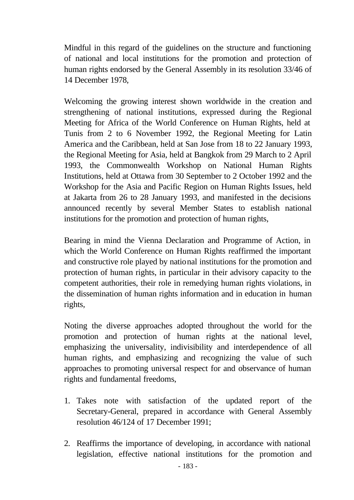Mindful in this regard of the guidelines on the structure and functioning of national and local institutions for the promotion and protection of human rights endorsed by the General Assembly in its resolution 33/46 of 14 December 1978,

Welcoming the growing interest shown worldwide in the creation and strengthening of national institutions, expressed during the Regional Meeting for Africa of the World Conference on Human Rights, held at Tunis from 2 to 6 November 1992, the Regional Meeting for Latin America and the Caribbean, held at San Jose from 18 to 22 January 1993, the Regional Meeting for Asia, held at Bangkok from 29 March to 2 April 1993, the Commonwealth Workshop on National Human Rights Institutions, held at Ottawa from 30 September to 2 October 1992 and the Workshop for the Asia and Pacific Region on Human Rights Issues, held at Jakarta from 26 to 28 January 1993, and manifested in the decisions announced recently by several Member States to establish national institutions for the promotion and protection of human rights,

Bearing in mind the Vienna Declaration and Programme of Action, in which the World Conference on Human Rights reaffirmed the important and constructive role played by national institutions for the promotion and protection of human rights, in particular in their advisory capacity to the competent authorities, their role in remedying human rights violations, in the dissemination of human rights information and in education in human rights,

Noting the diverse approaches adopted throughout the world for the promotion and protection of human rights at the national level, emphasizing the universality, indivisibility and interdependence of all human rights, and emphasizing and recognizing the value of such approaches to promoting universal respect for and observance of human rights and fundamental freedoms,

- 1. Takes note with satisfaction of the updated report of the Secretary-General, prepared in accordance with General Assembly resolution 46/124 of 17 December 1991;
- 2. Reaffirms the importance of developing, in accordance with national legislation, effective national institutions for the promotion and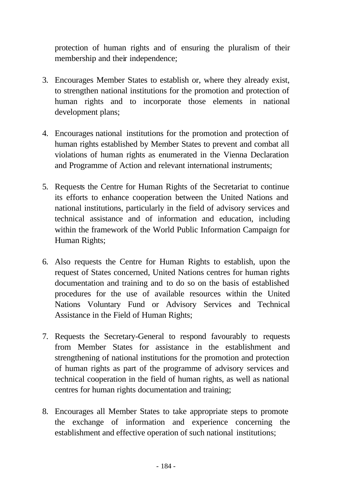protection of human rights and of ensuring the pluralism of their membership and their independence;

- 3. Encourages Member States to establish or, where they already exist, to strengthen national institutions for the promotion and protection of human rights and to incorporate those elements in national development plans;
- 4. Encourages national institutions for the promotion and protection of human rights established by Member States to prevent and combat all violations of human rights as enumerated in the Vienna Declaration and Programme of Action and relevant international instruments;
- 5. Requests the Centre for Human Rights of the Secretariat to continue its efforts to enhance cooperation between the United Nations and national institutions, particularly in the field of advisory services and technical assistance and of information and education, including within the framework of the World Public Information Campaign for Human Rights;
- 6. Also requests the Centre for Human Rights to establish, upon the request of States concerned, United Nations centres for human rights documentation and training and to do so on the basis of established procedures for the use of available resources within the United Nations Voluntary Fund or Advisory Services and Technical Assistance in the Field of Human Rights;
- 7. Requests the Secretary-General to respond favourably to requests from Member States for assistance in the establishment and strengthening of national institutions for the promotion and protection of human rights as part of the programme of advisory services and technical cooperation in the field of human rights, as well as national centres for human rights documentation and training;
- 8. Encourages all Member States to take appropriate steps to promote the exchange of information and experience concerning the establishment and effective operation of such national institutions;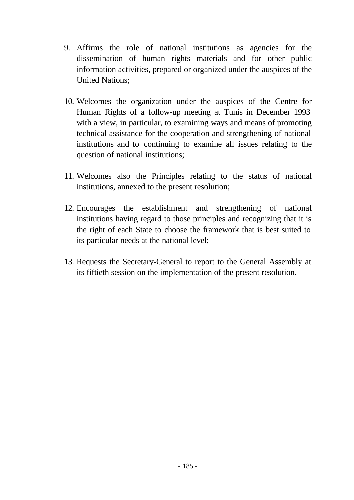- 9. Affirms the role of national institutions as agencies for the dissemination of human rights materials and for other public information activities, prepared or organized under the auspices of the United Nations;
- 10. Welcomes the organization under the auspices of the Centre for Human Rights of a follow-up meeting at Tunis in December 1993 with a view, in particular, to examining ways and means of promoting technical assistance for the cooperation and strengthening of national institutions and to continuing to examine all issues relating to the question of national institutions;
- 11. Welcomes also the Principles relating to the status of national institutions, annexed to the present resolution;
- 12. Encourages the establishment and strengthening of national institutions having regard to those principles and recognizing that it is the right of each State to choose the framework that is best suited to its particular needs at the national level;
- 13. Requests the Secretary-General to report to the General Assembly at its fiftieth session on the implementation of the present resolution.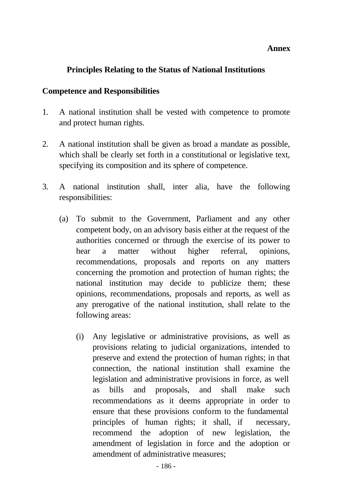#### **Annex**

### **Principles Relating to the Status of National Institutions**

#### **Competence and Responsibilities**

- 1. A national institution shall be vested with competence to promote and protect human rights.
- 2. A national institution shall be given as broad a mandate as possible, which shall be clearly set forth in a constitutional or legislative text, specifying its composition and its sphere of competence.
- 3. A national institution shall, inter alia, have the following responsibilities:
	- (a) To submit to the Government, Parliament and any other competent body, on an advisory basis either at the request of the authorities concerned or through the exercise of its power to hear a matter without higher referral, opinions, recommendations, proposals and reports on any matters concerning the promotion and protection of human rights; the national institution may decide to publicize them; these opinions, recommendations, proposals and reports, as well as any prerogative of the national institution, shall relate to the following areas:
		- (i) Any legislative or administrative provisions, as well as provisions relating to judicial organizations, intended to preserve and extend the protection of human rights; in that connection, the national institution shall examine the legislation and administrative provisions in force, as well as bills and proposals, and shall make such recommendations as it deems appropriate in order to ensure that these provisions conform to the fundamental principles of human rights; it shall, if necessary, recommend the adoption of new legislation, the amendment of legislation in force and the adoption or amendment of administrative measures;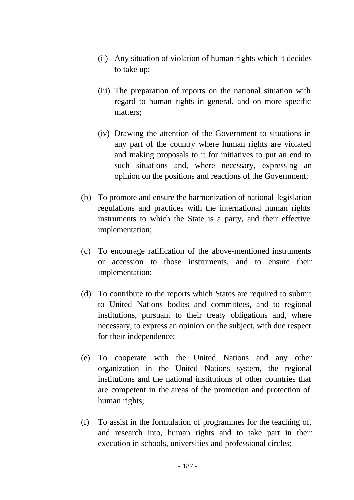- (ii) Any situation of violation of human rights which it decides to take up;
- (iii) The preparation of reports on the national situation with regard to human rights in general, and on more specific matters;
- (iv) Drawing the attention of the Government to situations in any part of the country where human rights are violated and making proposals to it for initiatives to put an end to such situations and, where necessary, expressing an opinion on the positions and reactions of the Government;
- (b) To promote and ensure the harmonization of national legislation regulations and practices with the international human rights instruments to which the State is a party, and their effective implementation;
- (c) To encourage ratification of the above-mentioned instruments or accession to those instruments, and to ensure their implementation;
- (d) To contribute to the reports which States are required to submit to United Nations bodies and committees, and to regional institutions, pursuant to their treaty obligations and, where necessary, to express an opinion on the subject, with due respect for their independence;
- (e) To cooperate with the United Nations and any other organization in the United Nations system, the regional institutions and the national institutions of other countries that are competent in the areas of the promotion and protection of human rights;
- (f) To assist in the formulation of programmes for the teaching of, and research into, human rights and to take part in their execution in schools, universities and professional circles;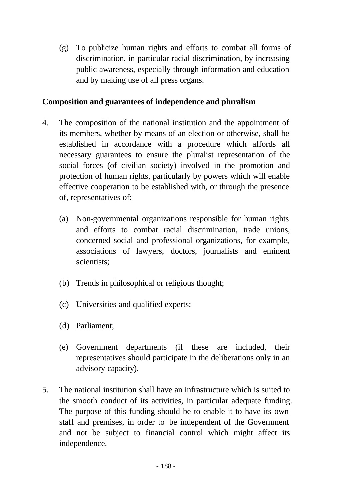(g) To publicize human rights and efforts to combat all forms of discrimination, in particular racial discrimination, by increasing public awareness, especially through information and education and by making use of all press organs.

## **Composition and guarantees of independence and pluralism**

- 4. The composition of the national institution and the appointment of its members, whether by means of an election or otherwise, shall be established in accordance with a procedure which affords all necessary guarantees to ensure the pluralist representation of the social forces (of civilian society) involved in the promotion and protection of human rights, particularly by powers which will enable effective cooperation to be established with, or through the presence of, representatives of:
	- (a) Non-governmental organizations responsible for human rights and efforts to combat racial discrimination, trade unions, concerned social and professional organizations, for example, associations of lawyers, doctors, journalists and eminent scientists;
	- (b) Trends in philosophical or religious thought;
	- (c) Universities and qualified experts;
	- (d) Parliament;
	- (e) Government departments (if these are included, their representatives should participate in the deliberations only in an advisory capacity).
- 5. The national institution shall have an infrastructure which is suited to the smooth conduct of its activities, in particular adequate funding. The purpose of this funding should be to enable it to have its own staff and premises, in order to be independent of the Government and not be subject to financial control which might affect its independence.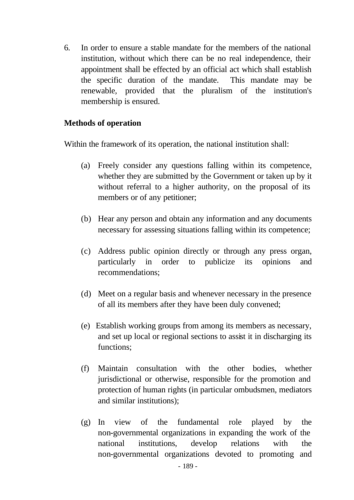6. In order to ensure a stable mandate for the members of the national institution, without which there can be no real independence, their appointment shall be effected by an official act which shall establish the specific duration of the mandate. This mandate may be renewable, provided that the pluralism of the institution's membership is ensured.

### **Methods of operation**

Within the framework of its operation, the national institution shall:

- (a) Freely consider any questions falling within its competence, whether they are submitted by the Government or taken up by it without referral to a higher authority, on the proposal of its members or of any petitioner;
- (b) Hear any person and obtain any information and any documents necessary for assessing situations falling within its competence;
- (c) Address public opinion directly or through any press organ, particularly in order to publicize its opinions and recommendations;
- (d) Meet on a regular basis and whenever necessary in the presence of all its members after they have been duly convened;
- (e) Establish working groups from among its members as necessary, and set up local or regional sections to assist it in discharging its functions;
- (f) Maintain consultation with the other bodies, whether jurisdictional or otherwise, responsible for the promotion and protection of human rights (in particular ombudsmen, mediators and similar institutions);
- (g) In view of the fundamental role played by the non-governmental organizations in expanding the work of the national institutions, develop relations with the non-governmental organizations devoted to promoting and